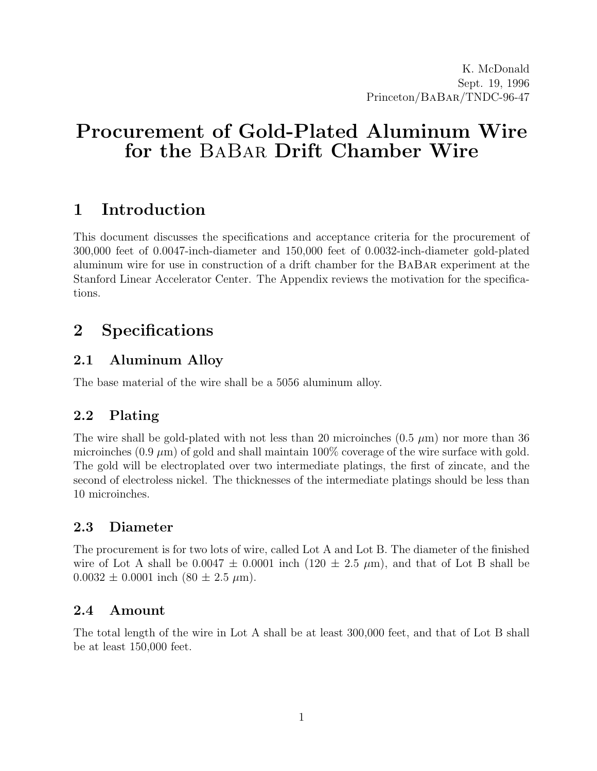# Procurement of Gold-Plated Aluminum Wire for the BaBar Drift Chamber Wire

# 1 Introduction

This document discusses the specifications and acceptance criteria for the procurement of 300,000 feet of 0.0047-inch-diameter and 150,000 feet of 0.0032-inch-diameter gold-plated aluminum wire for use in construction of a drift chamber for the BaBar experiment at the Stanford Linear Accelerator Center. The Appendix reviews the motivation for the specifications.

# 2 Specifications

## 2.1 Aluminum Alloy

The base material of the wire shall be a 5056 aluminum alloy.

## 2.2 Plating

The wire shall be gold-plated with not less than 20 microinches  $(0.5 \mu m)$  nor more than 36 microinches  $(0.9 \,\mu\text{m})$  of gold and shall maintain 100% coverage of the wire surface with gold. The gold will be electroplated over two intermediate platings, the first of zincate, and the second of electroless nickel. The thicknesses of the intermediate platings should be less than 10 microinches.

## 2.3 Diameter

The procurement is for two lots of wire, called Lot A and Lot B. The diameter of the finished wire of Lot A shall be  $0.0047 \pm 0.0001$  inch  $(120 \pm 2.5 \mu m)$ , and that of Lot B shall be  $0.0032 \pm 0.0001$  inch  $(80 \pm 2.5 \mu m)$ .

## 2.4 Amount

The total length of the wire in Lot A shall be at least 300,000 feet, and that of Lot B shall be at least 150,000 feet.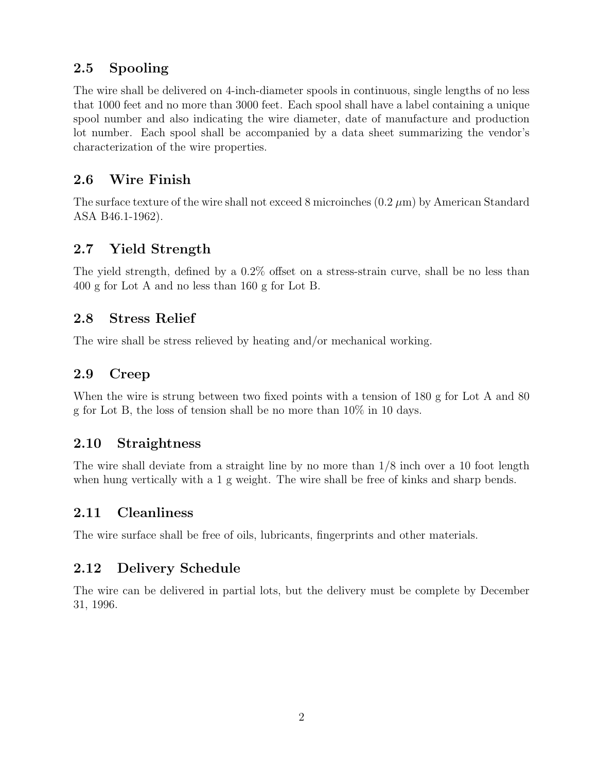## 2.5 Spooling

The wire shall be delivered on 4-inch-diameter spools in continuous, single lengths of no less that 1000 feet and no more than 3000 feet. Each spool shall have a label containing a unique spool number and also indicating the wire diameter, date of manufacture and production lot number. Each spool shall be accompanied by a data sheet summarizing the vendor's characterization of the wire properties.

## 2.6 Wire Finish

The surface texture of the wire shall not exceed 8 microinches  $(0.2 \mu m)$  by American Standard ASA B46.1-1962).

## 2.7 Yield Strength

The yield strength, defined by a 0.2% offset on a stress-strain curve, shall be no less than 400 g for Lot A and no less than 160 g for Lot B.

### 2.8 Stress Relief

The wire shall be stress relieved by heating and/or mechanical working.

## 2.9 Creep

When the wire is strung between two fixed points with a tension of 180 g for Lot A and 80 g for Lot B, the loss of tension shall be no more than 10% in 10 days.

## 2.10 Straightness

The wire shall deviate from a straight line by no more than 1/8 inch over a 10 foot length when hung vertically with a 1 g weight. The wire shall be free of kinks and sharp bends.

## 2.11 Cleanliness

The wire surface shall be free of oils, lubricants, fingerprints and other materials.

## 2.12 Delivery Schedule

The wire can be delivered in partial lots, but the delivery must be complete by December 31, 1996.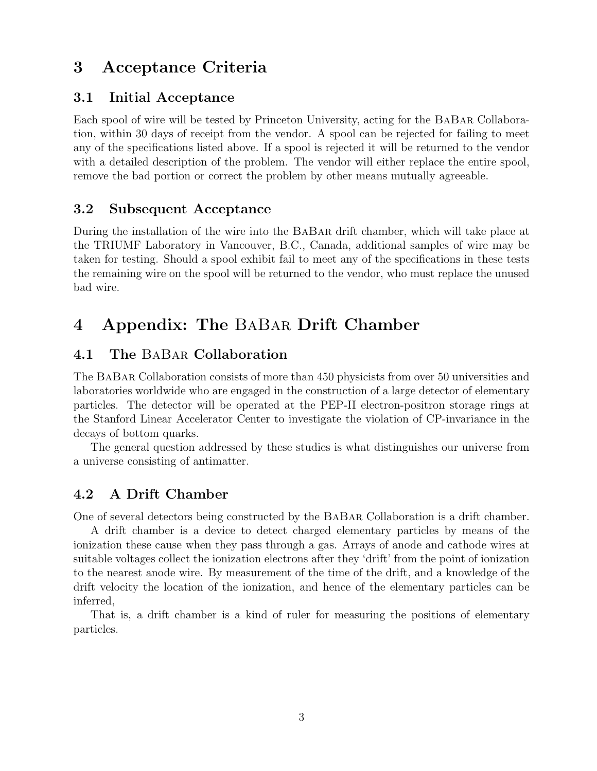# 3 Acceptance Criteria

### 3.1 Initial Acceptance

Each spool of wire will be tested by Princeton University, acting for the BaBar Collaboration, within 30 days of receipt from the vendor. A spool can be rejected for failing to meet any of the specifications listed above. If a spool is rejected it will be returned to the vendor with a detailed description of the problem. The vendor will either replace the entire spool, remove the bad portion or correct the problem by other means mutually agreeable.

### 3.2 Subsequent Acceptance

During the installation of the wire into the BaBar drift chamber, which will take place at the TRIUMF Laboratory in Vancouver, B.C., Canada, additional samples of wire may be taken for testing. Should a spool exhibit fail to meet any of the specifications in these tests the remaining wire on the spool will be returned to the vendor, who must replace the unused bad wire.

# 4 Appendix: The BaBar Drift Chamber

### 4.1 The BaBar Collaboration

The BaBar Collaboration consists of more than 450 physicists from over 50 universities and laboratories worldwide who are engaged in the construction of a large detector of elementary particles. The detector will be operated at the PEP-II electron-positron storage rings at the Stanford Linear Accelerator Center to investigate the violation of CP-invariance in the decays of bottom quarks.

The general question addressed by these studies is what distinguishes our universe from a universe consisting of antimatter.

## 4.2 A Drift Chamber

One of several detectors being constructed by the BaBar Collaboration is a drift chamber.

A drift chamber is a device to detect charged elementary particles by means of the ionization these cause when they pass through a gas. Arrays of anode and cathode wires at suitable voltages collect the ionization electrons after they 'drift' from the point of ionization to the nearest anode wire. By measurement of the time of the drift, and a knowledge of the drift velocity the location of the ionization, and hence of the elementary particles can be inferred,

That is, a drift chamber is a kind of ruler for measuring the positions of elementary particles.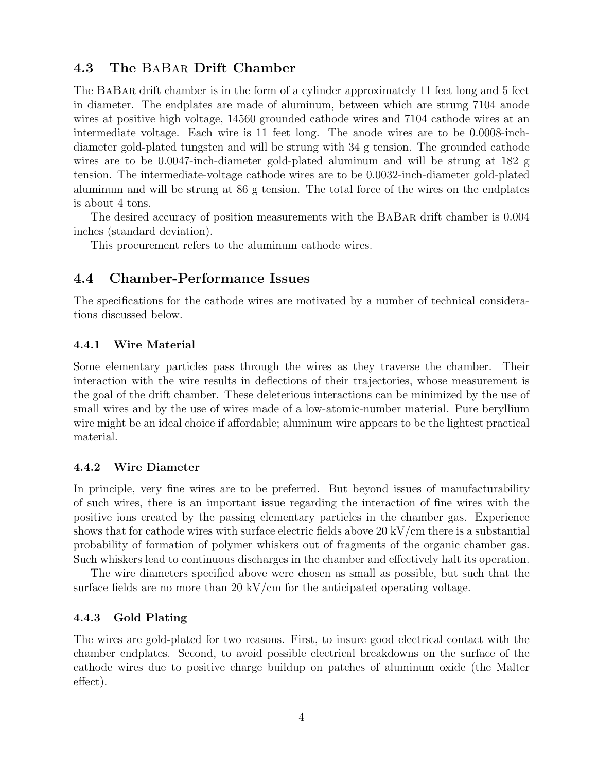### 4.3 The BaBar Drift Chamber

The BaBar drift chamber is in the form of a cylinder approximately 11 feet long and 5 feet in diameter. The endplates are made of aluminum, between which are strung 7104 anode wires at positive high voltage, 14560 grounded cathode wires and 7104 cathode wires at an intermediate voltage. Each wire is 11 feet long. The anode wires are to be 0.0008-inchdiameter gold-plated tungsten and will be strung with 34 g tension. The grounded cathode wires are to be 0.0047-inch-diameter gold-plated aluminum and will be strung at 182 g tension. The intermediate-voltage cathode wires are to be 0.0032-inch-diameter gold-plated aluminum and will be strung at 86 g tension. The total force of the wires on the endplates is about 4 tons.

The desired accuracy of position measurements with the BaBar drift chamber is 0.004 inches (standard deviation).

This procurement refers to the aluminum cathode wires.

### 4.4 Chamber-Performance Issues

The specifications for the cathode wires are motivated by a number of technical considerations discussed below.

### 4.4.1 Wire Material

Some elementary particles pass through the wires as they traverse the chamber. Their interaction with the wire results in deflections of their trajectories, whose measurement is the goal of the drift chamber. These deleterious interactions can be minimized by the use of small wires and by the use of wires made of a low-atomic-number material. Pure beryllium wire might be an ideal choice if affordable; aluminum wire appears to be the lightest practical material.

#### 4.4.2 Wire Diameter

In principle, very fine wires are to be preferred. But beyond issues of manufacturability of such wires, there is an important issue regarding the interaction of fine wires with the positive ions created by the passing elementary particles in the chamber gas. Experience shows that for cathode wires with surface electric fields above 20 kV/cm there is a substantial probability of formation of polymer whiskers out of fragments of the organic chamber gas. Such whiskers lead to continuous discharges in the chamber and effectively halt its operation.

The wire diameters specified above were chosen as small as possible, but such that the surface fields are no more than 20 kV/cm for the anticipated operating voltage.

#### 4.4.3 Gold Plating

The wires are gold-plated for two reasons. First, to insure good electrical contact with the chamber endplates. Second, to avoid possible electrical breakdowns on the surface of the cathode wires due to positive charge buildup on patches of aluminum oxide (the Malter effect).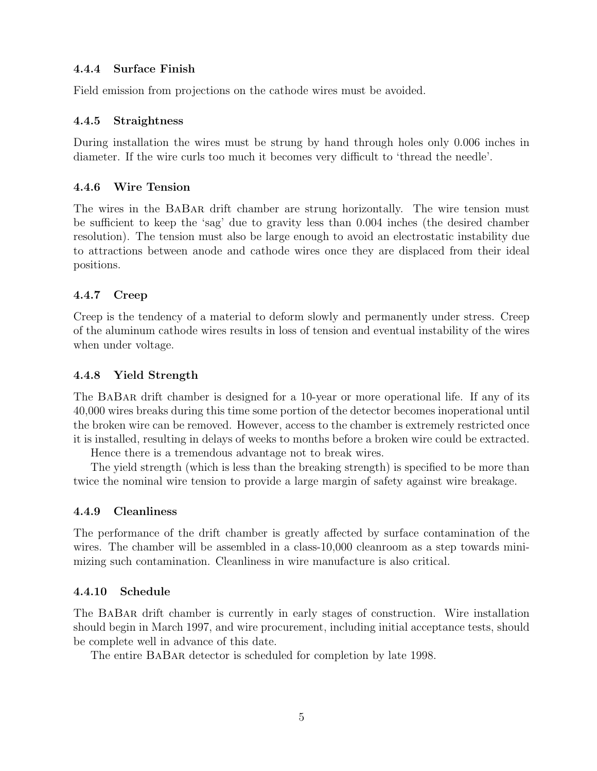#### 4.4.4 Surface Finish

Field emission from projections on the cathode wires must be avoided.

### 4.4.5 Straightness

During installation the wires must be strung by hand through holes only 0.006 inches in diameter. If the wire curls too much it becomes very difficult to 'thread the needle'.

### 4.4.6 Wire Tension

The wires in the BaBar drift chamber are strung horizontally. The wire tension must be sufficient to keep the 'sag' due to gravity less than 0.004 inches (the desired chamber resolution). The tension must also be large enough to avoid an electrostatic instability due to attractions between anode and cathode wires once they are displaced from their ideal positions.

### 4.4.7 Creep

Creep is the tendency of a material to deform slowly and permanently under stress. Creep of the aluminum cathode wires results in loss of tension and eventual instability of the wires when under voltage.

### 4.4.8 Yield Strength

The BaBar drift chamber is designed for a 10-year or more operational life. If any of its 40,000 wires breaks during this time some portion of the detector becomes inoperational until the broken wire can be removed. However, access to the chamber is extremely restricted once it is installed, resulting in delays of weeks to months before a broken wire could be extracted.

Hence there is a tremendous advantage not to break wires.

The yield strength (which is less than the breaking strength) is specified to be more than twice the nominal wire tension to provide a large margin of safety against wire breakage.

#### 4.4.9 Cleanliness

The performance of the drift chamber is greatly affected by surface contamination of the wires. The chamber will be assembled in a class-10,000 cleanroom as a step towards minimizing such contamination. Cleanliness in wire manufacture is also critical.

#### 4.4.10 Schedule

The BaBar drift chamber is currently in early stages of construction. Wire installation should begin in March 1997, and wire procurement, including initial acceptance tests, should be complete well in advance of this date.

The entire BaBar detector is scheduled for completion by late 1998.